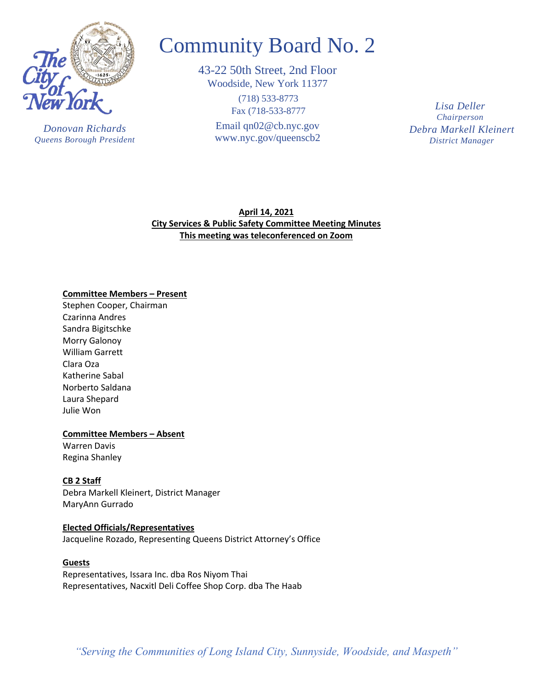

*Donovan Richards Queens Borough President*

# Community Board No. 2

43-22 50th Street, 2nd Floor Woodside, New York 11377

> (718) 533-8773 Fax (718-533-8777

Email [qn02@cb.nyc.gov](mailto:qn02@cb.nyc.gov) [www.nyc.gov/queenscb2](http://www.nyc.gov/queenscb2) *Debra Markell Kleinert District Manager Lisa Deller Chairperson*

**April 14, 2021 City Services & Public Safety Committee Meeting Minutes This meeting was teleconferenced on Zoom**

## **Committee Members – Present**

Stephen Cooper, Chairman Czarinna Andres Sandra Bigitschke Morry Galonoy William Garrett Clara Oza Katherine Sabal Norberto Saldana Laura Shepard Julie Won

## **Committee Members – Absent**

Warren Davis Regina Shanley

# **CB 2 Staff**

Debra Markell Kleinert, District Manager MaryAnn Gurrado

## **Elected Officials/Representatives**

Jacqueline Rozado, Representing Queens District Attorney's Office

## **Guests**

Representatives, Issara Inc. dba Ros Niyom Thai Representatives, Nacxitl Deli Coffee Shop Corp. dba The Haab

*"Serving the Communities of Long Island City, Sunnyside, Woodside, and Maspeth"*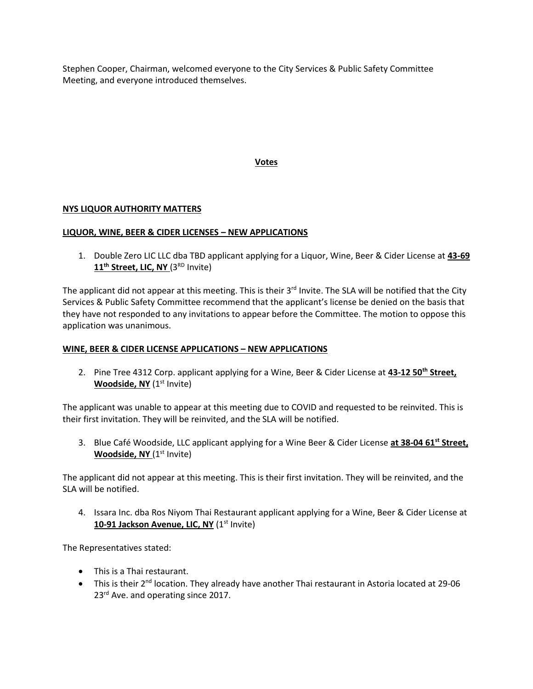Stephen Cooper, Chairman, welcomed everyone to the City Services & Public Safety Committee Meeting, and everyone introduced themselves.

## **Votes**

## **NYS LIQUOR AUTHORITY MATTERS**

## **LIQUOR, WINE, BEER & CIDER LICENSES – NEW APPLICATIONS**

1. Double Zero LIC LLC dba TBD applicant applying for a Liquor, Wine, Beer & Cider License at **43-69**  11<sup>th</sup> Street, LIC, NY (3<sup>RD</sup> Invite)

The applicant did not appear at this meeting. This is their  $3<sup>rd</sup>$  Invite. The SLA will be notified that the City Services & Public Safety Committee recommend that the applicant's license be denied on the basis that they have not responded to any invitations to appear before the Committee. The motion to oppose this application was unanimous.

## **WINE, BEER & CIDER LICENSE APPLICATIONS – NEW APPLICATIONS**

2. Pine Tree 4312 Corp. applicant applying for a Wine, Beer & Cider License at **43-12 50th Street, Woodside, NY** (1<sup>st</sup> Invite)

The applicant was unable to appear at this meeting due to COVID and requested to be reinvited. This is their first invitation. They will be reinvited, and the SLA will be notified.

3. Blue Café Woodside, LLC applicant applying for a Wine Beer & Cider License **at 38-04 61st Street, Woodside, NY** (1<sup>st</sup> Invite)

The applicant did not appear at this meeting. This is their first invitation. They will be reinvited, and the SLA will be notified.

4. Issara Inc. dba Ros Niyom Thai Restaurant applicant applying for a Wine, Beer & Cider License at **10-91 Jackson Avenue, LIC, NY** (1<sup>st</sup> Invite)

The Representatives stated:

- This is a Thai restaurant.
- This is their  $2^{nd}$  location. They already have another Thai restaurant in Astoria located at 29-06 23<sup>rd</sup> Ave. and operating since 2017.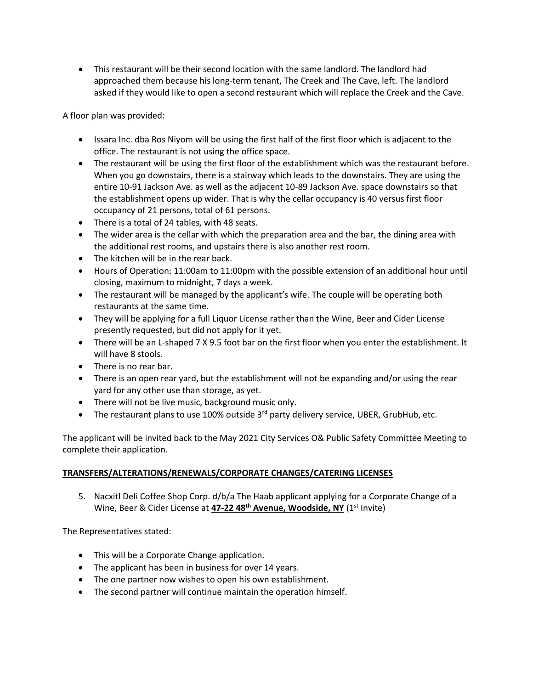• This restaurant will be their second location with the same landlord. The landlord had approached them because his long-term tenant, The Creek and The Cave, left. The landlord asked if they would like to open a second restaurant which will replace the Creek and the Cave.

A floor plan was provided:

- Issara Inc. dba Ros Niyom will be using the first half of the first floor which is adjacent to the office. The restaurant is not using the office space.
- The restaurant will be using the first floor of the establishment which was the restaurant before. When you go downstairs, there is a stairway which leads to the downstairs. They are using the entire 10-91 Jackson Ave. as well as the adjacent 10-89 Jackson Ave. space downstairs so that the establishment opens up wider. That is why the cellar occupancy is 40 versus first floor occupancy of 21 persons, total of 61 persons.
- There is a total of 24 tables, with 48 seats.
- The wider area is the cellar with which the preparation area and the bar, the dining area with the additional rest rooms, and upstairs there is also another rest room.
- The kitchen will be in the rear back.
- Hours of Operation: 11:00am to 11:00pm with the possible extension of an additional hour until closing, maximum to midnight, 7 days a week.
- The restaurant will be managed by the applicant's wife. The couple will be operating both restaurants at the same time.
- They will be applying for a full Liquor License rather than the Wine, Beer and Cider License presently requested, but did not apply for it yet.
- There will be an L-shaped 7 X 9.5 foot bar on the first floor when you enter the establishment. It will have 8 stools.
- There is no rear bar.
- There is an open rear yard, but the establishment will not be expanding and/or using the rear yard for any other use than storage, as yet.
- There will not be live music, background music only.
- The restaurant plans to use 100% outside  $3<sup>rd</sup>$  party delivery service, UBER, GrubHub, etc.

The applicant will be invited back to the May 2021 City Services O& Public Safety Committee Meeting to complete their application.

# **TRANSFERS/ALTERATIONS/RENEWALS/CORPORATE CHANGES/CATERING LICENSES**

5. Nacxitl Deli Coffee Shop Corp. d/b/a The Haab applicant applying for a Corporate Change of a Wine, Beer & Cider License at 47-22 48<sup>th</sup> Avenue, Woodside, NY (1<sup>st</sup> Invite)

The Representatives stated:

- This will be a Corporate Change application.
- The applicant has been in business for over 14 years.
- The one partner now wishes to open his own establishment.
- The second partner will continue maintain the operation himself.